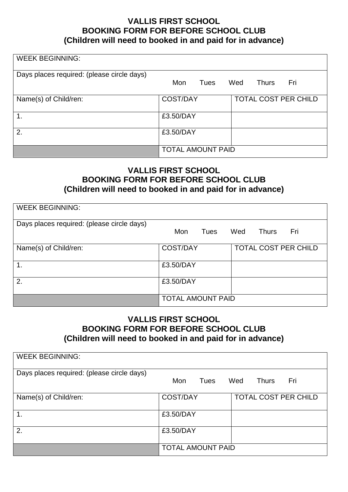## **VALLIS FIRST SCHOOL BOOKING FORM FOR BEFORE SCHOOL CLUB (Children will need to booked in and paid for in advance)**

| <b>WEEK BEGINNING:</b>                     |                          |      |     |              |                             |
|--------------------------------------------|--------------------------|------|-----|--------------|-----------------------------|
|                                            |                          |      |     |              |                             |
| Days places required: (please circle days) |                          |      |     |              |                             |
|                                            | Mon                      | Tues | Wed | <b>Thurs</b> | Fri                         |
|                                            |                          |      |     |              |                             |
|                                            |                          |      |     |              |                             |
| Name(s) of Child/ren:                      | <b>COST/DAY</b>          |      |     |              | <b>TOTAL COST PER CHILD</b> |
|                                            |                          |      |     |              |                             |
| $\mathbf 1$ .                              | £3.50/DAY                |      |     |              |                             |
|                                            |                          |      |     |              |                             |
|                                            |                          |      |     |              |                             |
| 2.                                         | £3.50/DAY                |      |     |              |                             |
|                                            |                          |      |     |              |                             |
|                                            | <b>TOTAL AMOUNT PAID</b> |      |     |              |                             |
|                                            |                          |      |     |              |                             |

## **VALLIS FIRST SCHOOL BOOKING FORM FOR BEFORE SCHOOL CLUB (Children will need to booked in and paid for in advance)**

| <b>WEEK BEGINNING:</b>                     |                          |                            |  |
|--------------------------------------------|--------------------------|----------------------------|--|
| Days places required: (please circle days) |                          |                            |  |
|                                            | Mon<br>Tues              | Fri<br>Wed<br><b>Thurs</b> |  |
| Name(s) of Child/ren:                      | <b>COST/DAY</b>          | TOTAL COST PER CHILD       |  |
| $\overline{1}$ .                           | £3.50/DAY                |                            |  |
| 2.                                         | £3.50/DAY                |                            |  |
|                                            | <b>TOTAL AMOUNT PAID</b> |                            |  |

## **VALLIS FIRST SCHOOL BOOKING FORM FOR BEFORE SCHOOL CLUB (Children will need to booked in and paid for in advance)**

| <b>WEEK BEGINNING:</b>                     |                          |                             |  |
|--------------------------------------------|--------------------------|-----------------------------|--|
| Days places required: (please circle days) | Mon<br>Tues              | Wed<br>Fri<br>Thurs         |  |
|                                            |                          |                             |  |
| Name(s) of Child/ren:                      | <b>COST/DAY</b>          | <b>TOTAL COST PER CHILD</b> |  |
| $\mathbf 1$ .                              | £3.50/DAY                |                             |  |
| 2.                                         | £3.50/DAY                |                             |  |
|                                            | <b>TOTAL AMOUNT PAID</b> |                             |  |